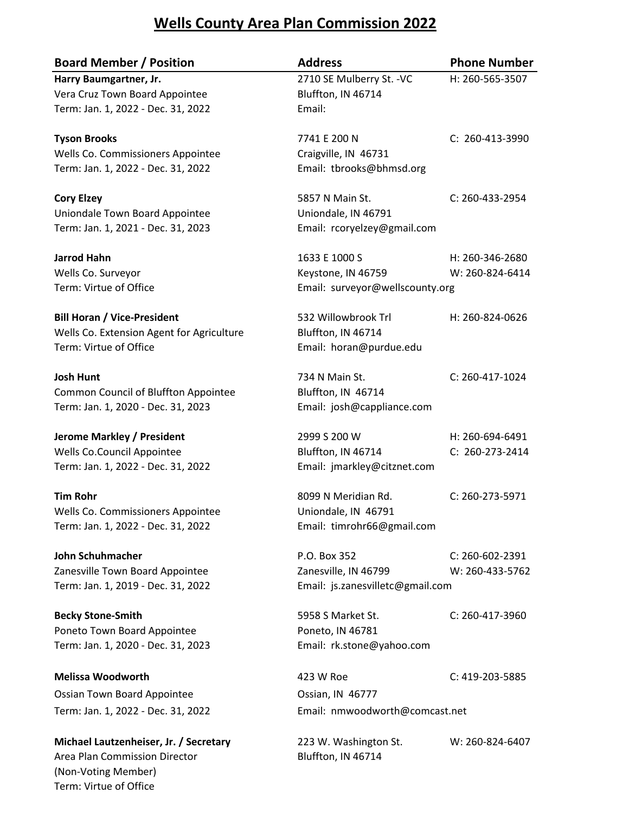## **Wells County Area Plan Commission 2022**

| <b>Board Member / Position</b>              | <b>Address</b>                   | <b>Phone Number</b>   |
|---------------------------------------------|----------------------------------|-----------------------|
| Harry Baumgartner, Jr.                      | 2710 SE Mulberry St. - VC        | H: 260-565-3507       |
| Vera Cruz Town Board Appointee              | Bluffton, IN 46714               |                       |
| Term: Jan. 1, 2022 - Dec. 31, 2022          | Email:                           |                       |
| <b>Tyson Brooks</b>                         | 7741 E 200 N                     | C: 260-413-3990       |
| Wells Co. Commissioners Appointee           | Craigville, IN 46731             |                       |
| Term: Jan. 1, 2022 - Dec. 31, 2022          | Email: tbrooks@bhmsd.org         |                       |
| <b>Cory Elzey</b>                           | 5857 N Main St.                  | $C: 260 - 433 - 2954$ |
| Uniondale Town Board Appointee              | Uniondale, IN 46791              |                       |
| Term: Jan. 1, 2021 - Dec. 31, 2023          | Email: rcoryelzey@gmail.com      |                       |
| <b>Jarrod Hahn</b>                          | 1633 E 1000 S                    | H: 260-346-2680       |
| Wells Co. Surveyor                          | Keystone, IN 46759               | W: 260-824-6414       |
| Term: Virtue of Office                      | Email: surveyor@wellscounty.org  |                       |
| <b>Bill Horan / Vice-President</b>          | 532 Willowbrook Trl              | H: 260-824-0626       |
| Wells Co. Extension Agent for Agriculture   | Bluffton, IN 46714               |                       |
| Term: Virtue of Office                      | Email: horan@purdue.edu          |                       |
| <b>Josh Hunt</b>                            | 734 N Main St.                   | C: 260-417-1024       |
| <b>Common Council of Bluffton Appointee</b> | Bluffton, IN 46714               |                       |
| Term: Jan. 1, 2020 - Dec. 31, 2023          | Email: josh@cappliance.com       |                       |
| <b>Jerome Markley / President</b>           | 2999 S 200 W                     | H: 260-694-6491       |
| Wells Co.Council Appointee                  | Bluffton, IN 46714               | C: 260-273-2414       |
| Term: Jan. 1, 2022 - Dec. 31, 2022          | Email: jmarkley@citznet.com      |                       |
| <b>Tim Rohr</b>                             | 8099 N Meridian Rd.              | C: 260-273-5971       |
| Wells Co. Commissioners Appointee           | Uniondale, IN 46791              |                       |
| Term: Jan. 1, 2022 - Dec. 31, 2022          | Email: timrohr66@gmail.com       |                       |
| John Schuhmacher                            | P.O. Box 352                     | C: 260-602-2391       |
| Zanesville Town Board Appointee             | Zanesville, IN 46799             | W: 260-433-5762       |
| Term: Jan. 1, 2019 - Dec. 31, 2022          | Email: js.zanesvilletc@gmail.com |                       |
| <b>Becky Stone-Smith</b>                    | 5958 S Market St.                | C: 260-417-3960       |
| Poneto Town Board Appointee                 | Poneto, IN 46781                 |                       |
| Term: Jan. 1, 2020 - Dec. 31, 2023          | Email: rk.stone@yahoo.com        |                       |
| <b>Melissa Woodworth</b>                    | 423 W Roe                        | C: 419-203-5885       |
| Ossian Town Board Appointee                 | Ossian, IN 46777                 |                       |
| Term: Jan. 1, 2022 - Dec. 31, 2022          | Email: nmwoodworth@comcast.net   |                       |
| Michael Lautzenheiser, Jr. / Secretary      | 223 W. Washington St.            | W: 260-824-6407       |
| Area Plan Commission Director               | Bluffton, IN 46714               |                       |
| (Non-Voting Member)                         |                                  |                       |

Term: Virtue of Office